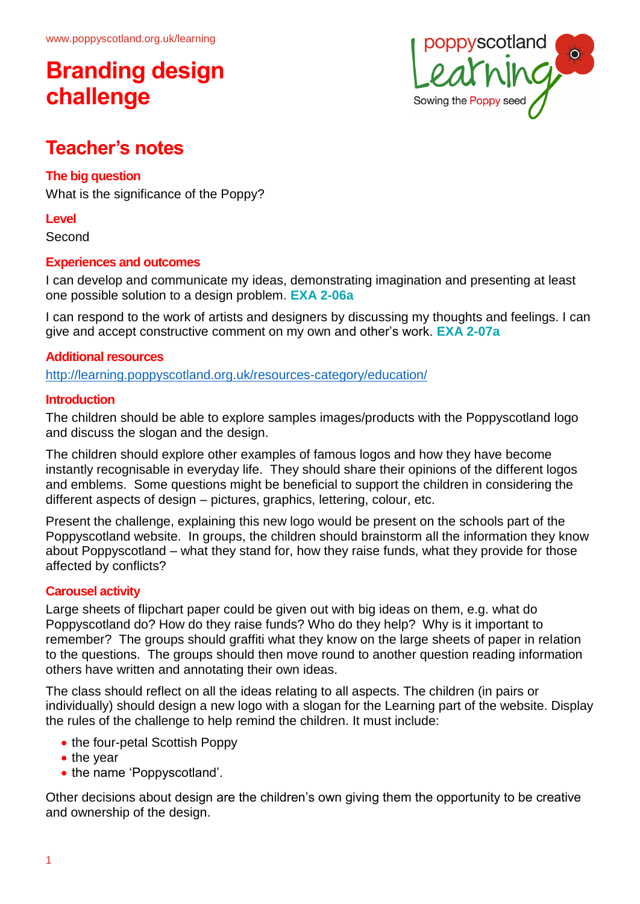# **Branding design challenge**



# **Teacher's notes**

# **The big question**

What is the significance of the Poppy?

### **Level**

Second

## **Experiences and outcomes**

I can develop and communicate my ideas, demonstrating imagination and presenting at least one possible solution to a design problem. **EXA 2-06a**

I can respond to the work of artists and designers by discussing my thoughts and feelings. I can give and accept constructive comment on my own and other's work. **EXA 2-07a**

## **Additional resources**

<http://learning.poppyscotland.org.uk/resources-category/education/>

### **Introduction**

The children should be able to explore samples images/products with the Poppyscotland logo and discuss the slogan and the design.

The children should explore other examples of famous logos and how they have become instantly recognisable in everyday life. They should share their opinions of the different logos and emblems. Some questions might be beneficial to support the children in considering the different aspects of design – pictures, graphics, lettering, colour, etc.

Present the challenge, explaining this new logo would be present on the schools part of the Poppyscotland website. In groups, the children should brainstorm all the information they know about Poppyscotland – what they stand for, how they raise funds, what they provide for those affected by conflicts?

# **Carousel activity**

Large sheets of flipchart paper could be given out with big ideas on them, e.g. what do Poppyscotland do? How do they raise funds? Who do they help? Why is it important to remember? The groups should graffiti what they know on the large sheets of paper in relation to the questions. The groups should then move round to another question reading information others have written and annotating their own ideas.

The class should reflect on all the ideas relating to all aspects. The children (in pairs or individually) should design a new logo with a slogan for the Learning part of the website. Display the rules of the challenge to help remind the children. It must include:

- the four-petal Scottish Poppy
- the year
- the name 'Poppyscotland'.

Other decisions about design are the children's own giving them the opportunity to be creative and ownership of the design.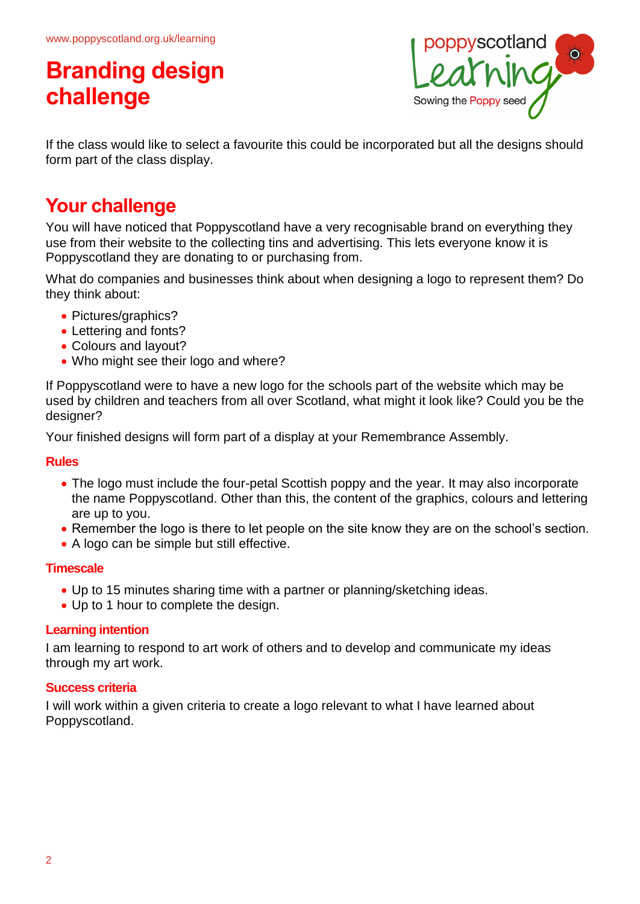# **Branding design challenge**



If the class would like to select a favourite this could be incorporated but all the designs should form part of the class display.

# **Your challenge**

You will have noticed that Poppyscotland have a very recognisable brand on everything they use from their website to the collecting tins and advertising. This lets everyone know it is Poppyscotland they are donating to or purchasing from.

What do companies and businesses think about when designing a logo to represent them? Do they think about:

- Pictures/graphics?
- Lettering and fonts?
- Colours and layout?
- Who might see their logo and where?

If Poppyscotland were to have a new logo for the schools part of the website which may be used by children and teachers from all over Scotland, what might it look like? Could you be the designer?

Your finished designs will form part of a display at your Remembrance Assembly.

#### **Rules**

- The logo must include the four-petal Scottish poppy and the year. It may also incorporate the name Poppyscotland. Other than this, the content of the graphics, colours and lettering are up to you.
- Remember the logo is there to let people on the site know they are on the school's section.
- A logo can be simple but still effective.

#### **Timescale**

- Up to 15 minutes sharing time with a partner or planning/sketching ideas.
- Up to 1 hour to complete the design.

#### **Learning intention**

I am learning to respond to art work of others and to develop and communicate my ideas through my art work.

### **Success criteria**

I will work within a given criteria to create a logo relevant to what I have learned about Poppyscotland.